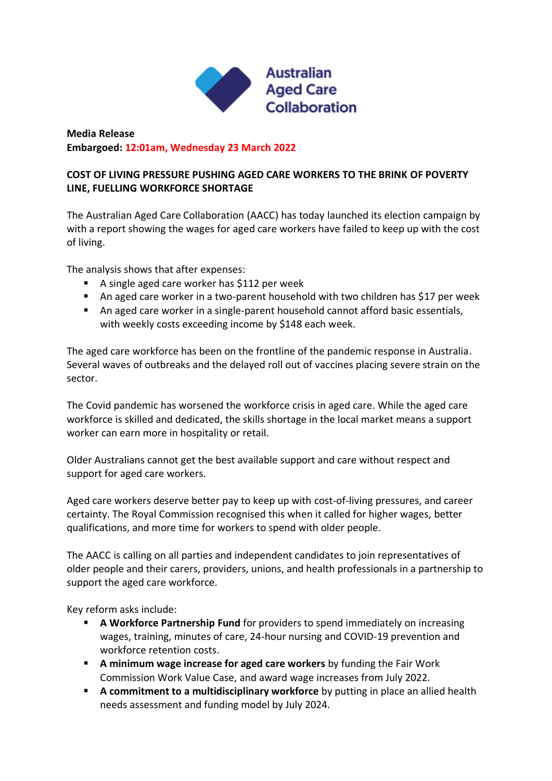

## **Media Release Embargoed: 12:01am, Wednesday 23 March 2022**

# **COST OF LIVING PRESSURE PUSHING AGED CARE WORKERS TO THE BRINK OF POVERTY LINE, FUELLING WORKFORCE SHORTAGE**

The Australian Aged Care Collaboration (AACC) has today launched its election campaign by with a report showing the wages for aged care workers have failed to keep up with the cost of living.

The analysis shows that after expenses:

- A single aged care worker has \$112 per week
- An aged care worker in a two-parent household with two children has \$17 per week
- An aged care worker in a single-parent household cannot afford basic essentials, with weekly costs exceeding income by \$148 each week.

The aged care workforce has been on the frontline of the pandemic response in Australia. Several waves of outbreaks and the delayed roll out of vaccines placing severe strain on the sector.

The Covid pandemic has worsened the workforce crisis in aged care. While the aged care workforce is skilled and dedicated, the skills shortage in the local market means a support worker can earn more in hospitality or retail.

Older Australians cannot get the best available support and care without respect and support for aged care workers.

Aged care workers deserve better pay to keep up with cost-of-living pressures, and career certainty. The Royal Commission recognised this when it called for higher wages, better qualifications, and more time for workers to spend with older people.

The AACC is calling on all parties and independent candidates to join representatives of older people and their carers, providers, unions, and health professionals in a partnership to support the aged care workforce.

Key reform asks include:

- **EXECT** A Workforce Partnership Fund for providers to spend immediately on increasing wages, training, minutes of care, 24-hour nursing and COVID-19 prevention and workforce retention costs.
- **E** A minimum wage increase for aged care workers by funding the Fair Work Commission Work Value Case, and award wage increases from July 2022.
- **A commitment to a multidisciplinary workforce** by putting in place an allied health needs assessment and funding model by July 2024.